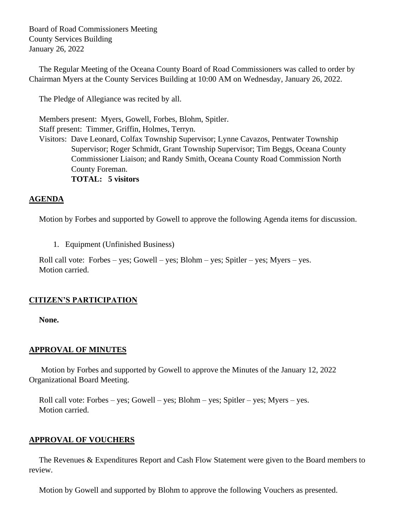Board of Road Commissioners Meeting County Services Building January 26, 2022

 The Regular Meeting of the Oceana County Board of Road Commissioners was called to order by Chairman Myers at the County Services Building at 10:00 AM on Wednesday, January 26, 2022.

The Pledge of Allegiance was recited by all.

 Members present: Myers, Gowell, Forbes, Blohm, Spitler. Staff present: Timmer, Griffin, Holmes, Terryn. Visitors: Dave Leonard, Colfax Township Supervisor; Lynne Cavazos, Pentwater Township Supervisor; Roger Schmidt, Grant Township Supervisor; Tim Beggs, Oceana County Commissioner Liaison; and Randy Smith, Oceana County Road Commission North County Foreman. **TOTAL: 5 visitors**

# **AGENDA**

Motion by Forbes and supported by Gowell to approve the following Agenda items for discussion.

1. Equipment (Unfinished Business)

 Roll call vote: Forbes – yes; Gowell – yes; Blohm – yes; Spitler – yes; Myers – yes. Motion carried.

### **CITIZEN'S PARTICIPATION**

**None.**

### **APPROVAL OF MINUTES**

Motion by Forbes and supported by Gowell to approve the Minutes of the January 12, 2022 Organizational Board Meeting.

 Roll call vote: Forbes – yes; Gowell – yes; Blohm – yes; Spitler – yes; Myers – yes. Motion carried.

### **APPROVAL OF VOUCHERS**

 The Revenues & Expenditures Report and Cash Flow Statement were given to the Board members to review.

Motion by Gowell and supported by Blohm to approve the following Vouchers as presented.